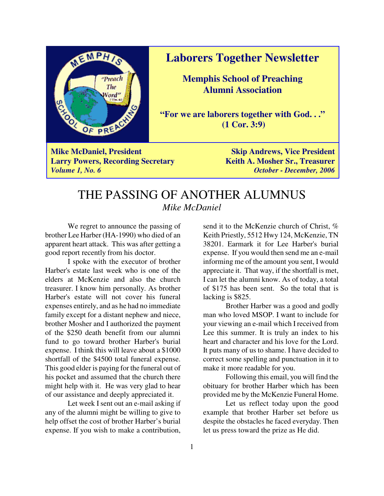

**Laborers Together Newsletter**

**Memphis School of Preaching Alumni Association**

**"For we are laborers together with God. . ." (1 Cor. 3:9)**

**Mike McDaniel, President Skip Andrews, Vice President Skip Andrews, Skip Andrews Larry Powers, Recording Secretary Keith A. Mosher Sr., Treasurer** *Volume 1, No. 6 October - December, 2006*

# THE PASSING OF ANOTHER ALUMNUS *Mike McDaniel*

We regret to announce the passing of brother Lee Harber (HA-1990) who died of an apparent heart attack. This was after getting a good report recently from his doctor.

I spoke with the executor of brother Harber's estate last week who is one of the elders at McKenzie and also the church treasurer. I know him personally. As brother Harber's estate will not cover his funeral expenses entirely, and as he had no immediate family except for a distant nephew and niece, brother Mosher and I authorized the payment of the \$250 death benefit from our alumni fund to go toward brother Harber's burial expense. I think this will leave about a \$1000 shortfall of the \$4500 total funeral expense. This good elder is paying for the funeral out of his pocket and assumed that the church there might help with it. He was very glad to hear of our assistance and deeply appreciated it.

Let week I sent out an e-mail asking if any of the alumni might be willing to give to help offset the cost of brother Harber's burial expense. If you wish to make a contribution,

send it to the McKenzie church of Christ, % Keith Priestly, 5512 Hwy 124, McKenzie, TN 38201. Earmark it for Lee Harber's burial expense. If you would then send me an e-mail informing me of the amount you sent, I would appreciate it. That way, if the shortfall is met, I can let the alumni know. As of today, a total of \$175 has been sent. So the total that is lacking is \$825.

Brother Harber was a good and godly man who loved MSOP. I want to include for your viewing an e-mail which I received from Lee this summer. It is truly an index to his heart and character and his love for the Lord. It puts many of us to shame. I have decided to correct some spelling and punctuation in it to make it more readable for you.

Following this email, you will find the obituary for brother Harber which has been provided me by the McKenzie Funeral Home.

Let us reflect today upon the good example that brother Harber set before us despite the obstacles he faced everyday. Then let us press toward the prize as He did.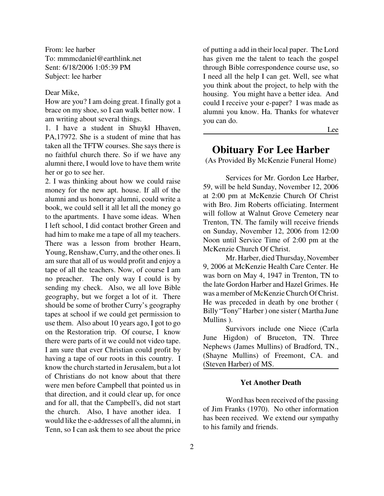From: lee harber To: mmmcdaniel@earthlink.net Sent: 6/18/2006 1:05:39 PM Subject: lee harber

#### Dear Mike,

How are you? I am doing great. I finally got a brace on my shoe, so I can walk better now. I am writing about several things.

1. I have a student in Shuykl Hhaven, PA,17972. She is a student of mine that has taken all the TFTW courses. She says there is no faithful church there. So if we have any alumni there, I would love to have them write her or go to see her.

2. I was thinking about how we could raise money for the new apt. house. If all of the alumni and us honorary alumni, could write a book, we could sell it all let all the money go to the apartments. I have some ideas. When I left school, I did contact brother Green and had him to make me a tape of all my teachers. There was a lesson from brother Hearn, Young, Renshaw, Curry, and the other ones. Ii am sure that all of us would profit and enjoy a tape of all the teachers. Now, of course I am no preacher. The only way I could is by sending my check. Also, we all love Bible geography, but we forget a lot of it. There should be some of brother Curry's geography tapes at school if we could get permission to use them. Also about 10 years ago, I got to go on the Restoration trip. Of course, I know there were parts of it we could not video tape. I am sure that ever Christian could profit by having a tape of our roots in this country. I know the church started in Jerusalem, but a lot of Christians do not know about that there were men before Campbell that pointed us in that direction, and it could clear up, for once and for all, that the Campbell's, did not start the church. Also, I have another idea. I would like the e-addresses of all the alumni, in Tenn, so I can ask them to see about the price

of putting a add in their local paper. The Lord has given me the talent to teach the gospel through Bible correspondence course use, so I need all the help I can get. Well, see what you think about the project, to help with the housing. You might have a better idea. And could I receive your e-paper? I was made as alumni you know. Ha. Thanks for whatever you can do.

Lee

## **Obituary For Lee Harber**

(As Provided By McKenzie Funeral Home)

Services for Mr. Gordon Lee Harber, 59, will be held Sunday, November 12, 2006 at 2:00 pm at McKenzie Church Of Christ with Bro. Jim Roberts officiating. Interment will follow at Walnut Grove Cemetery near Trenton, TN. The family will receive friends on Sunday, November 12, 2006 from 12:00 Noon until Service Time of 2:00 pm at the McKenzie Church Of Christ.

Mr. Harber, died Thursday, November 9, 2006 at McKenzie Health Care Center. He was born on May 4, 1947 in Trenton, TN to the late Gordon Harber and Hazel Grimes. He was a member of McKenzie Church Of Christ. He was preceded in death by one brother ( Billy "Tony" Harber ) one sister ( Martha June Mullins ).

Survivors include one Niece (Carla June Higdon) of Bruceton, TN. Three Nephews (James Mullins) of Bradford, TN., (Shayne Mullins) of Freemont, CA. and (Steven Harber) of MS.

#### **Yet Another Death**

Word has been received of the passing of Jim Franks (1970). No other information has been received. We extend our sympathy to his family and friends.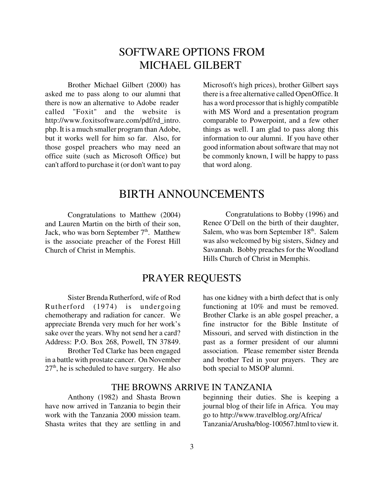# SOFTWARE OPTIONS FROM MICHAEL GILBERT

Brother Michael Gilbert (2000) has asked me to pass along to our alumni that there is now an alternative to Adobe reader called "Foxit" and the website is http://www.foxitsoftware.com/pdf/rd\_intro. php. It is a much smaller program than Adobe, but it works well for him so far. Also, for those gospel preachers who may need an office suite (such as Microsoft Office) but can't afford to purchase it (or don't want to pay

Microsoft's high prices), brother Gilbert says there is a free alternative called OpenOffice. It has a word processor that is highly compatible with MS Word and a presentation program comparable to Powerpoint, and a few other things as well. I am glad to pass along this information to our alumni. If you have other good information about software that may not be commonly known, I will be happy to pass that word along.

## BIRTH ANNOUNCEMENTS

Congratulations to Matthew (2004) and Lauren Martin on the birth of their son, Jack, who was born September  $7<sup>th</sup>$ . Matthew is the associate preacher of the Forest Hill Church of Christ in Memphis.

Congratulations to Bobby (1996) and Renee O'Dell on the birth of their daughter, Salem, who was born September 18<sup>th</sup>. Salem was also welcomed by big sisters, Sidney and Savannah. Bobby preaches for the Woodland Hills Church of Christ in Memphis.

## PRAYER REQUESTS

Sister Brenda Rutherford, wife of Rod Rutherford (1974) is undergoing chemotherapy and radiation for cancer. We appreciate Brenda very much for her work's sake over the years. Why not send her a card? Address: P.O. Box 268, Powell, TN 37849.

Brother Ted Clarke has been engaged in a battle with prostate cancer. On November  $27<sup>th</sup>$ , he is scheduled to have surgery. He also

has one kidney with a birth defect that is only functioning at 10% and must be removed. Brother Clarke is an able gospel preacher, a fine instructor for the Bible Institute of Missouri, and served with distinction in the past as a former president of our alumni association. Please remember sister Brenda and brother Ted in your prayers. They are both special to MSOP alumni.

### THE BROWNS ARRIVE IN TANZANIA

Anthony (1982) and Shasta Brown have now arrived in Tanzania to begin their work with the Tanzania 2000 mission team. Shasta writes that they are settling in and

beginning their duties. She is keeping a journal blog of their life in Africa. You may go to http://www.travelblog.org/Africa/ Tanzania/Arusha/blog-100567.html to view it.